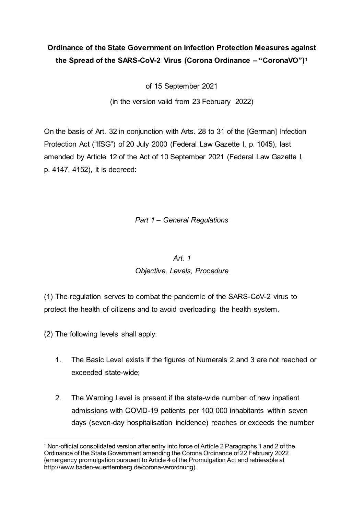# **Ordinance of the State Government on Infection Protection Measures against the Spread of the SARS-CoV-2 Virus (Corona Ordinance – "CoronaVO")[1](#page-0-0)**

of 15 September 2021

(in the version valid from 23 February 2022)

On the basis of Art. 32 in conjunction with Arts. 28 to 31 of the [German] Infection Protection Act ("IfSG") of 20 July 2000 (Federal Law Gazette I, p. 1045), last amended by Article 12 of the Act of 10 September 2021 (Federal Law Gazette I, p. 4147, 4152), it is decreed:

## *Part 1 – General Regulations*

### *Art. 1*

## *Objective, Levels, Procedure*

(1) The regulation serves to combat the pandemic of the SARS-CoV-2 virus to protect the health of citizens and to avoid overloading the health system.

(2) The following levels shall apply:

- 1. The Basic Level exists if the figures of Numerals 2 and 3 are not reached or exceeded state-wide;
- 2. The Warning Level is present if the state-wide number of new inpatient admissions with COVID-19 patients per 100 000 inhabitants within seven days (seven-day hospitalisation incidence) reaches or exceeds the number

<span id="page-0-0"></span><sup>&</sup>lt;sup>1</sup> Non-official consolidated version after entry into force of Article 2 Paragraphs 1 and 2 of the Ordinance of the State Government amending the Corona Ordinance of 22 February 2022 (emergency promulgation pursuant to Article 4 of the Promulgation Act and retrievable at http://www.baden-wuerttemberg.de/corona-verordnung).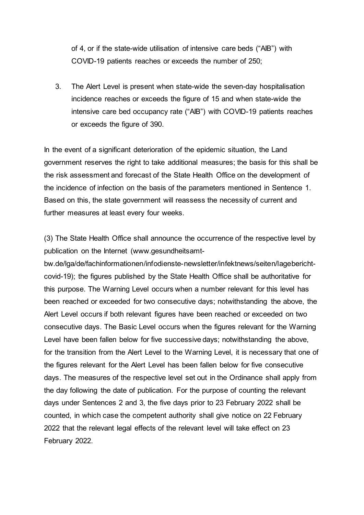of 4, or if the state-wide utilisation of intensive care beds ("AIB") with COVID-19 patients reaches or exceeds the number of 250;

3. The Alert Level is present when state-wide the seven-day hospitalisation incidence reaches or exceeds the figure of 15 and when state-wide the intensive care bed occupancy rate ("AIB") with COVID-19 patients reaches or exceeds the figure of 390.

In the event of a significant deterioration of the epidemic situation, the Land government reserves the right to take additional measures; the basis for this shall be the risk assessment and forecast of the State Health Office on the development of the incidence of infection on the basis of the parameters mentioned in Sentence 1. Based on this, the state government will reassess the necessity of current and further measures at least every four weeks.

(3) The State Health Office shall announce the occurrence of the respective level by publication on the Internet (www.gesundheitsamt-

bw.de/lga/de/fachinformationen/infodienste-newsletter/infektnews/seiten/lageberichtcovid-19); the figures published by the State Health Office shall be authoritative for this purpose. The Warning Level occurs when a number relevant for this level has been reached or exceeded for two consecutive days; notwithstanding the above, the Alert Level occurs if both relevant figures have been reached or exceeded on two consecutive days. The Basic Level occurs when the figures relevant for the Warning Level have been fallen below for five successive days; notwithstanding the above, for the transition from the Alert Level to the Warning Level, it is necessary that one of the figures relevant for the Alert Level has been fallen below for five consecutive days. The measures of the respective level set out in the Ordinance shall apply from the day following the date of publication. For the purpose of counting the relevant days under Sentences 2 and 3, the five days prior to 23 February 2022 shall be counted, in which case the competent authority shall give notice on 22 February 2022 that the relevant legal effects of the relevant level will take effect on 23 February 2022.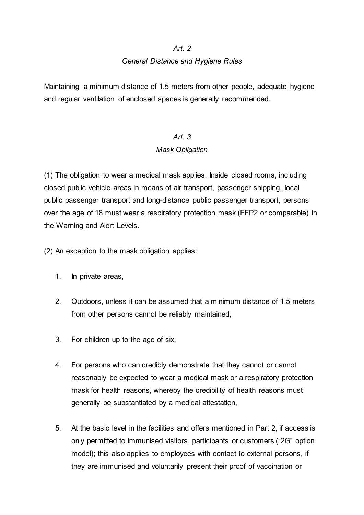### *Art. 2*

### *General Distance and Hygiene Rules*

Maintaining a minimum distance of 1.5 meters from other people, adequate hygiene and regular ventilation of enclosed spaces is generally recommended.

# *Art. 3*

## *Mask Obligation*

(1) The obligation to wear a medical mask applies. Inside closed rooms, including closed public vehicle areas in means of air transport, passenger shipping, local public passenger transport and long-distance public passenger transport, persons over the age of 18 must wear a respiratory protection mask (FFP2 or comparable) in the Warning and Alert Levels.

(2) An exception to the mask obligation applies:

- 1. In private areas,
- 2. Outdoors, unless it can be assumed that a minimum distance of 1.5 meters from other persons cannot be reliably maintained,
- 3. For children up to the age of six,
- 4. For persons who can credibly demonstrate that they cannot or cannot reasonably be expected to wear a medical mask or a respiratory protection mask for health reasons, whereby the credibility of health reasons must generally be substantiated by a medical attestation,
- 5. At the basic level in the facilities and offers mentioned in Part 2, if access is only permitted to immunised visitors, participants or customers ("2G" option model); this also applies to employees with contact to external persons, if they are immunised and voluntarily present their proof of vaccination or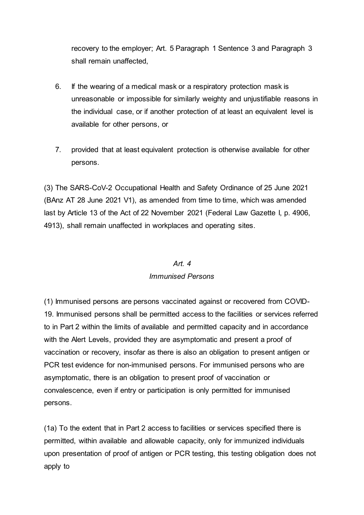recovery to the employer; Art. 5 Paragraph 1 Sentence 3 and Paragraph 3 shall remain unaffected,

- 6. If the wearing of a medical mask or a respiratory protection mask is unreasonable or impossible for similarly weighty and unjustifiable reasons in the individual case, or if another protection of at least an equivalent level is available for other persons, or
- 7. provided that at least equivalent protection is otherwise available for other persons.

(3) The SARS-CoV-2 Occupational Health and Safety Ordinance of 25 June 2021 (BAnz AT 28 June 2021 V1), as amended from time to time, which was amended last by Article 13 of the Act of 22 November 2021 (Federal Law Gazette I, p. 4906, 4913), shall remain unaffected in workplaces and operating sites.

### *Art. 4*

### *Immunised Persons*

(1) Immunised persons are persons vaccinated against or recovered from COVID-19. Immunised persons shall be permitted access to the facilities or services referred to in Part 2 within the limits of available and permitted capacity and in accordance with the Alert Levels, provided they are asymptomatic and present a proof of vaccination or recovery, insofar as there is also an obligation to present antigen or PCR test evidence for non-immunised persons. For immunised persons who are asymptomatic, there is an obligation to present proof of vaccination or convalescence, even if entry or participation is only permitted for immunised persons.

(1a) To the extent that in Part 2 access to facilities or services specified there is permitted, within available and allowable capacity, only for immunized individuals upon presentation of proof of antigen or PCR testing, this testing obligation does not apply to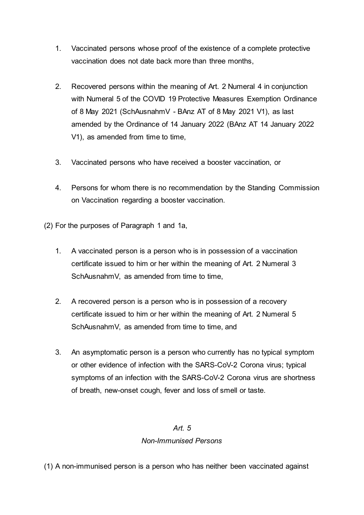- 1. Vaccinated persons whose proof of the existence of a complete protective vaccination does not date back more than three months,
- 2. Recovered persons within the meaning of Art. 2 Numeral 4 in conjunction with Numeral 5 of the COVID 19 Protective Measures Exemption Ordinance of 8 May 2021 (SchAusnahmV - BAnz AT of 8 May 2021 V1), as last amended by the Ordinance of 14 January 2022 (BAnz AT 14 January 2022 V1), as amended from time to time,
- 3. Vaccinated persons who have received a booster vaccination, or
- 4. Persons for whom there is no recommendation by the Standing Commission on Vaccination regarding a booster vaccination.
- (2) For the purposes of Paragraph 1 and 1a,
	- 1. A vaccinated person is a person who is in possession of a vaccination certificate issued to him or her within the meaning of Art. 2 Numeral 3 SchAusnahmV, as amended from time to time,
	- 2. A recovered person is a person who is in possession of a recovery certificate issued to him or her within the meaning of Art. 2 Numeral 5 SchAusnahmV, as amended from time to time, and
	- 3. An asymptomatic person is a person who currently has no typical symptom or other evidence of infection with the SARS-CoV-2 Corona virus; typical symptoms of an infection with the SARS-CoV-2 Corona virus are shortness of breath, new-onset cough, fever and loss of smell or taste.

## *Art. 5*

### *Non-Immunised Persons*

(1) A non-immunised person is a person who has neither been vaccinated against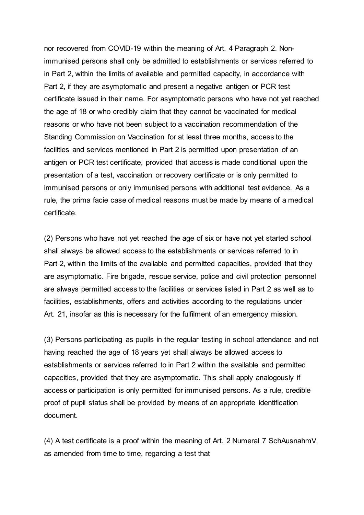nor recovered from COVID-19 within the meaning of Art. 4 Paragraph 2. Nonimmunised persons shall only be admitted to establishments or services referred to in Part 2, within the limits of available and permitted capacity, in accordance with Part 2, if they are asymptomatic and present a negative antigen or PCR test certificate issued in their name. For asymptomatic persons who have not yet reached the age of 18 or who credibly claim that they cannot be vaccinated for medical reasons or who have not been subject to a vaccination recommendation of the Standing Commission on Vaccination for at least three months, access to the facilities and services mentioned in Part 2 is permitted upon presentation of an antigen or PCR test certificate, provided that access is made conditional upon the presentation of a test, vaccination or recovery certificate or is only permitted to immunised persons or only immunised persons with additional test evidence. As a rule, the prima facie case of medical reasons must be made by means of a medical certificate.

(2) Persons who have not yet reached the age of six or have not yet started school shall always be allowed access to the establishments or services referred to in Part 2, within the limits of the available and permitted capacities, provided that they are asymptomatic. Fire brigade, rescue service, police and civil protection personnel are always permitted access to the facilities or services listed in Part 2 as well as to facilities, establishments, offers and activities according to the regulations under Art. 21, insofar as this is necessary for the fulfilment of an emergency mission.

(3) Persons participating as pupils in the regular testing in school attendance and not having reached the age of 18 years yet shall always be allowed access to establishments or services referred to in Part 2 within the available and permitted capacities, provided that they are asymptomatic. This shall apply analogously if access or participation is only permitted for immunised persons. As a rule, credible proof of pupil status shall be provided by means of an appropriate identification document.

(4) A test certificate is a proof within the meaning of Art. 2 Numeral 7 SchAusnahmV, as amended from time to time, regarding a test that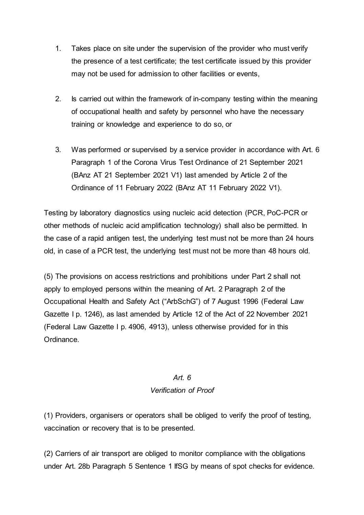- 1. Takes place on site under the supervision of the provider who must verify the presence of a test certificate; the test certificate issued by this provider may not be used for admission to other facilities or events,
- 2. Is carried out within the framework of in-company testing within the meaning of occupational health and safety by personnel who have the necessary training or knowledge and experience to do so, or
- 3. Was performed or supervised by a service provider in accordance with Art. 6 Paragraph 1 of the Corona Virus Test Ordinance of 21 September 2021 (BAnz AT 21 September 2021 V1) last amended by Article 2 of the Ordinance of 11 February 2022 (BAnz AT 11 February 2022 V1).

Testing by laboratory diagnostics using nucleic acid detection (PCR, PoC-PCR or other methods of nucleic acid amplification technology) shall also be permitted. In the case of a rapid antigen test, the underlying test must not be more than 24 hours old, in case of a PCR test, the underlying test must not be more than 48 hours old.

(5) The provisions on access restrictions and prohibitions under Part 2 shall not apply to employed persons within the meaning of Art. 2 Paragraph 2 of the Occupational Health and Safety Act ("ArbSchG") of 7 August 1996 (Federal Law Gazette I p. 1246), as last amended by Article 12 of the Act of 22 November 2021 (Federal Law Gazette I p. 4906, 4913), unless otherwise provided for in this Ordinance.

# *Art. 6 Verification of Proof*

(1) Providers, organisers or operators shall be obliged to verify the proof of testing, vaccination or recovery that is to be presented.

(2) Carriers of air transport are obliged to monitor compliance with the obligations under Art. 28b Paragraph 5 Sentence 1 IfSG by means of spot checks for evidence.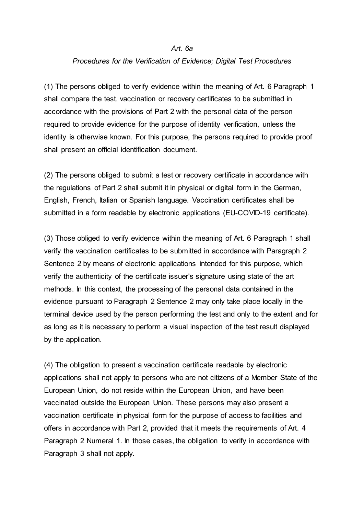#### *Art. 6a*

#### *Procedures for the Verification of Evidence; Digital Test Procedures*

(1) The persons obliged to verify evidence within the meaning of Art. 6 Paragraph 1 shall compare the test, vaccination or recovery certificates to be submitted in accordance with the provisions of Part 2 with the personal data of the person required to provide evidence for the purpose of identity verification, unless the identity is otherwise known. For this purpose, the persons required to provide proof shall present an official identification document.

(2) The persons obliged to submit a test or recovery certificate in accordance with the regulations of Part 2 shall submit it in physical or digital form in the German, English, French, Italian or Spanish language. Vaccination certificates shall be submitted in a form readable by electronic applications (EU-COVID-19 certificate).

(3) Those obliged to verify evidence within the meaning of Art. 6 Paragraph 1 shall verify the vaccination certificates to be submitted in accordance with Paragraph 2 Sentence 2 by means of electronic applications intended for this purpose, which verify the authenticity of the certificate issuer's signature using state of the art methods. In this context, the processing of the personal data contained in the evidence pursuant to Paragraph 2 Sentence 2 may only take place locally in the terminal device used by the person performing the test and only to the extent and for as long as it is necessary to perform a visual inspection of the test result displayed by the application.

(4) The obligation to present a vaccination certificate readable by electronic applications shall not apply to persons who are not citizens of a Member State of the European Union, do not reside within the European Union, and have been vaccinated outside the European Union. These persons may also present a vaccination certificate in physical form for the purpose of access to facilities and offers in accordance with Part 2, provided that it meets the requirements of Art. 4 Paragraph 2 Numeral 1. In those cases, the obligation to verify in accordance with Paragraph 3 shall not apply.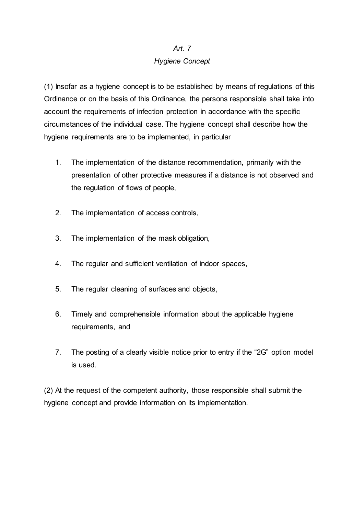## *Art. 7*

## *Hygiene Concept*

(1) Insofar as a hygiene concept is to be established by means of regulations of this Ordinance or on the basis of this Ordinance, the persons responsible shall take into account the requirements of infection protection in accordance with the specific circumstances of the individual case. The hygiene concept shall describe how the hygiene requirements are to be implemented, in particular

- 1. The implementation of the distance recommendation, primarily with the presentation of other protective measures if a distance is not observed and the regulation of flows of people,
- 2. The implementation of access controls,
- 3. The implementation of the mask obligation,
- 4. The regular and sufficient ventilation of indoor spaces,
- 5. The regular cleaning of surfaces and objects,
- 6. Timely and comprehensible information about the applicable hygiene requirements, and
- 7. The posting of a clearly visible notice prior to entry if the "2G" option model is used.

(2) At the request of the competent authority, those responsible shall submit the hygiene concept and provide information on its implementation.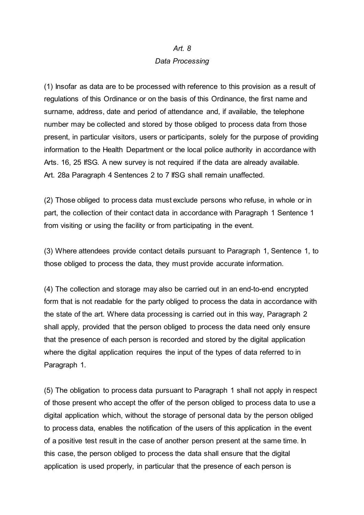#### *Art. 8*

#### *Data Processing*

(1) Insofar as data are to be processed with reference to this provision as a result of regulations of this Ordinance or on the basis of this Ordinance, the first name and surname, address, date and period of attendance and, if available, the telephone number may be collected and stored by those obliged to process data from those present, in particular visitors, users or participants, solely for the purpose of providing information to the Health Department or the local police authority in accordance with Arts. 16, 25 IfSG. A new survey is not required if the data are already available. Art. 28a Paragraph 4 Sentences 2 to 7 IfSG shall remain unaffected.

(2) Those obliged to process data must exclude persons who refuse, in whole or in part, the collection of their contact data in accordance with Paragraph 1 Sentence 1 from visiting or using the facility or from participating in the event.

(3) Where attendees provide contact details pursuant to Paragraph 1, Sentence 1, to those obliged to process the data, they must provide accurate information.

(4) The collection and storage may also be carried out in an end-to-end encrypted form that is not readable for the party obliged to process the data in accordance with the state of the art. Where data processing is carried out in this way, Paragraph 2 shall apply, provided that the person obliged to process the data need only ensure that the presence of each person is recorded and stored by the digital application where the digital application requires the input of the types of data referred to in Paragraph 1.

(5) The obligation to process data pursuant to Paragraph 1 shall not apply in respect of those present who accept the offer of the person obliged to process data to use a digital application which, without the storage of personal data by the person obliged to process data, enables the notification of the users of this application in the event of a positive test result in the case of another person present at the same time. In this case, the person obliged to process the data shall ensure that the digital application is used properly, in particular that the presence of each person is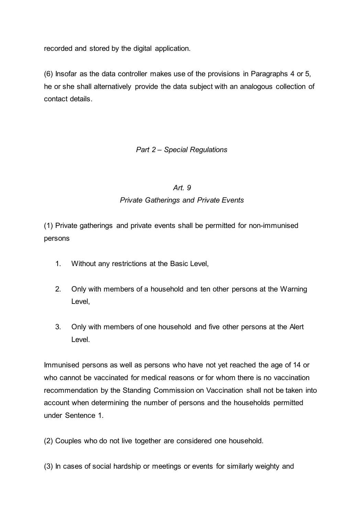recorded and stored by the digital application.

(6) Insofar as the data controller makes use of the provisions in Paragraphs 4 or 5, he or she shall alternatively provide the data subject with an analogous collection of contact details.

## *Part 2 – Special Regulations*

### *Art. 9*

## *Private Gatherings and Private Events*

(1) Private gatherings and private events shall be permitted for non-immunised persons

- 1. Without any restrictions at the Basic Level,
- 2. Only with members of a household and ten other persons at the Warning Level,
- 3. Only with members of one household and five other persons at the Alert Level.

Immunised persons as well as persons who have not yet reached the age of 14 or who cannot be vaccinated for medical reasons or for whom there is no vaccination recommendation by the Standing Commission on Vaccination shall not be taken into account when determining the number of persons and the households permitted under Sentence 1.

(2) Couples who do not live together are considered one household.

(3) In cases of social hardship or meetings or events for similarly weighty and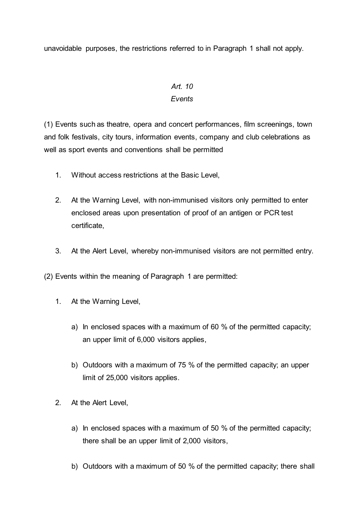unavoidable purposes, the restrictions referred to in Paragraph 1 shall not apply.

## *Art. 10 Events*

(1) Events such as theatre, opera and concert performances, film screenings, town and folk festivals, city tours, information events, company and club celebrations as well as sport events and conventions shall be permitted

- 1. Without access restrictions at the Basic Level,
- 2. At the Warning Level, with non-immunised visitors only permitted to enter enclosed areas upon presentation of proof of an antigen or PCR test certificate,
- 3. At the Alert Level, whereby non-immunised visitors are not permitted entry.

(2) Events within the meaning of Paragraph 1 are permitted:

- 1. At the Warning Level,
	- a) In enclosed spaces with a maximum of 60 % of the permitted capacity; an upper limit of 6,000 visitors applies,
	- b) Outdoors with a maximum of 75 % of the permitted capacity; an upper limit of 25,000 visitors applies.
- 2. At the Alert Level,
	- a) In enclosed spaces with a maximum of 50 % of the permitted capacity; there shall be an upper limit of 2,000 visitors,
	- b) Outdoors with a maximum of 50 % of the permitted capacity; there shall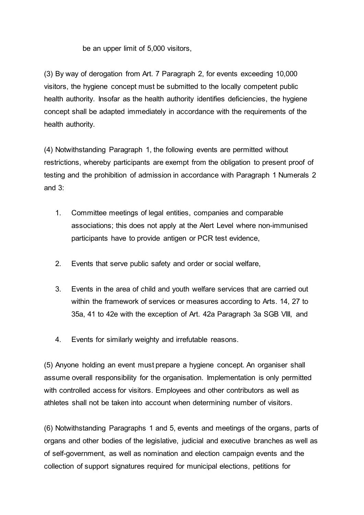be an upper limit of 5,000 visitors,

(3) By way of derogation from Art. 7 Paragraph 2, for events exceeding 10,000 visitors, the hygiene concept must be submitted to the locally competent public health authority. Insofar as the health authority identifies deficiencies, the hygiene concept shall be adapted immediately in accordance with the requirements of the health authority.

(4) Notwithstanding Paragraph 1, the following events are permitted without restrictions, whereby participants are exempt from the obligation to present proof of testing and the prohibition of admission in accordance with Paragraph 1 Numerals 2 and  $3<sup>1</sup>$ 

- 1. Committee meetings of legal entities, companies and comparable associations; this does not apply at the Alert Level where non-immunised participants have to provide antigen or PCR test evidence,
- 2. Events that serve public safety and order or social welfare,
- 3. Events in the area of child and youth welfare services that are carried out within the framework of services or measures according to Arts. 14, 27 to 35a, 41 to 42e with the exception of Art. 42a Paragraph 3a SGB VIII, and
- 4. Events for similarly weighty and irrefutable reasons.

(5) Anyone holding an event must prepare a hygiene concept. An organiser shall assume overall responsibility for the organisation. Implementation is only permitted with controlled access for visitors. Employees and other contributors as well as athletes shall not be taken into account when determining number of visitors.

(6) Notwithstanding Paragraphs 1 and 5, events and meetings of the organs, parts of organs and other bodies of the legislative, judicial and executive branches as well as of self-government, as well as nomination and election campaign events and the collection of support signatures required for municipal elections, petitions for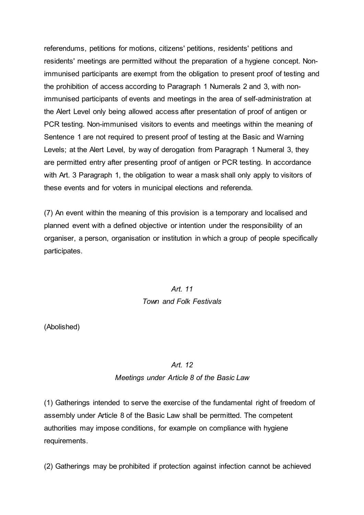referendums, petitions for motions, citizens' petitions, residents' petitions and residents' meetings are permitted without the preparation of a hygiene concept. Nonimmunised participants are exempt from the obligation to present proof of testing and the prohibition of access according to Paragraph 1 Numerals 2 and 3, with nonimmunised participants of events and meetings in the area of self-administration at the Alert Level only being allowed access after presentation of proof of antigen or PCR testing. Non-immunised visitors to events and meetings within the meaning of Sentence 1 are not required to present proof of testing at the Basic and Warning Levels; at the Alert Level, by way of derogation from Paragraph 1 Numeral 3, they are permitted entry after presenting proof of antigen or PCR testing. In accordance with Art. 3 Paragraph 1, the obligation to wear a mask shall only apply to visitors of these events and for voters in municipal elections and referenda.

(7) An event within the meaning of this provision is a temporary and localised and planned event with a defined objective or intention under the responsibility of an organiser, a person, organisation or institution in which a group of people specifically participates.

# *Art. 11 Town and Folk Festivals*

(Abolished)

### *Art. 12*

## *Meetings under Article 8 of the Basic Law*

(1) Gatherings intended to serve the exercise of the fundamental right of freedom of assembly under Article 8 of the Basic Law shall be permitted. The competent authorities may impose conditions, for example on compliance with hygiene requirements.

(2) Gatherings may be prohibited if protection against infection cannot be achieved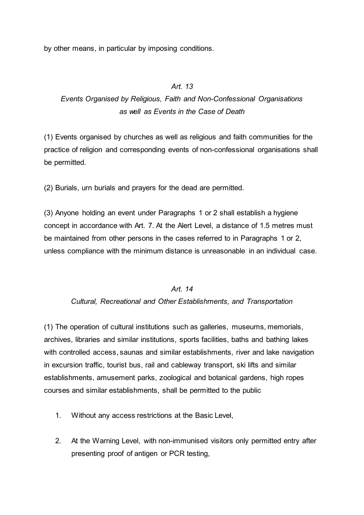by other means, in particular by imposing conditions.

## *Art. 13*

# *Events Organised by Religious, Faith and Non-Confessional Organisations as well as Events in the Case of Death*

(1) Events organised by churches as well as religious and faith communities for the practice of religion and corresponding events of non-confessional organisations shall be permitted.

(2) Burials, urn burials and prayers for the dead are permitted.

(3) Anyone holding an event under Paragraphs 1 or 2 shall establish a hygiene concept in accordance with Art. 7. At the Alert Level, a distance of 1.5 metres must be maintained from other persons in the cases referred to in Paragraphs 1 or 2, unless compliance with the minimum distance is unreasonable in an individual case.

### *Art. 14*

### *Cultural, Recreational and Other Establishments, and Transportation*

(1) The operation of cultural institutions such as galleries, museums, memorials, archives, libraries and similar institutions, sports facilities, baths and bathing lakes with controlled access, saunas and similar establishments, river and lake navigation in excursion traffic, tourist bus, rail and cableway transport, ski lifts and similar establishments, amusement parks, zoological and botanical gardens, high ropes courses and similar establishments, shall be permitted to the public

- 1. Without any access restrictions at the Basic Level,
- 2. At the Warning Level, with non-immunised visitors only permitted entry after presenting proof of antigen or PCR testing,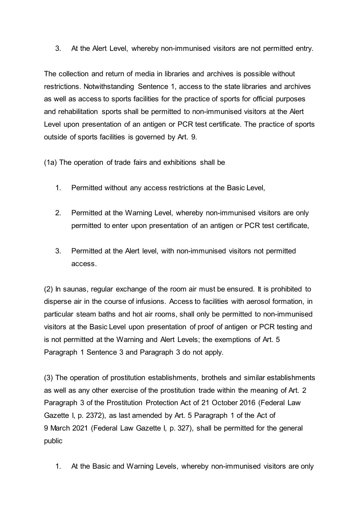3. At the Alert Level, whereby non-immunised visitors are not permitted entry.

The collection and return of media in libraries and archives is possible without restrictions. Notwithstanding Sentence 1, access to the state libraries and archives as well as access to sports facilities for the practice of sports for official purposes and rehabilitation sports shall be permitted to non-immunised visitors at the Alert Level upon presentation of an antigen or PCR test certificate. The practice of sports outside of sports facilities is governed by Art. 9.

(1a) The operation of trade fairs and exhibitions shall be

- 1. Permitted without any access restrictions at the Basic Level,
- 2. Permitted at the Warning Level, whereby non-immunised visitors are only permitted to enter upon presentation of an antigen or PCR test certificate,
- 3. Permitted at the Alert level, with non-immunised visitors not permitted access.

(2) In saunas, regular exchange of the room air must be ensured. It is prohibited to disperse air in the course of infusions. Access to facilities with aerosol formation, in particular steam baths and hot air rooms, shall only be permitted to non-immunised visitors at the Basic Level upon presentation of proof of antigen or PCR testing and is not permitted at the Warning and Alert Levels; the exemptions of Art. 5 Paragraph 1 Sentence 3 and Paragraph 3 do not apply.

(3) The operation of prostitution establishments, brothels and similar establishments as well as any other exercise of the prostitution trade within the meaning of Art. 2 Paragraph 3 of the Prostitution Protection Act of 21 October 2016 (Federal Law Gazette I, p. 2372), as last amended by Art. 5 Paragraph 1 of the Act of 9 March 2021 (Federal Law Gazette I, p. 327), shall be permitted for the general public

1. At the Basic and Warning Levels, whereby non-immunised visitors are only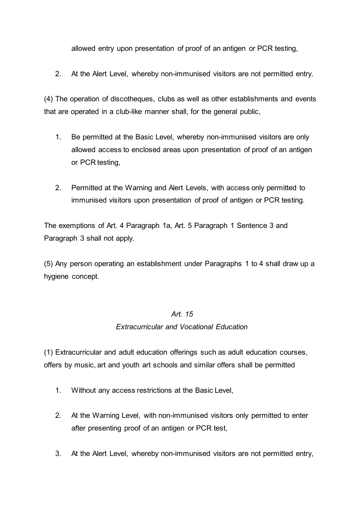allowed entry upon presentation of proof of an antigen or PCR testing,

2. At the Alert Level, whereby non-immunised visitors are not permitted entry.

(4) The operation of discotheques, clubs as well as other establishments and events that are operated in a club-like manner shall, for the general public,

- 1. Be permitted at the Basic Level, whereby non-immunised visitors are only allowed access to enclosed areas upon presentation of proof of an antigen or PCR testing,
- 2. Permitted at the Warning and Alert Levels, with access only permitted to immunised visitors upon presentation of proof of antigen or PCR testing.

The exemptions of Art. 4 Paragraph 1a, Art. 5 Paragraph 1 Sentence 3 and Paragraph 3 shall not apply.

(5) Any person operating an establishment under Paragraphs 1 to 4 shall draw up a hygiene concept.

## *Art. 15*

### *Extracurricular and Vocational Education*

(1) Extracurricular and adult education offerings such as adult education courses, offers by music, art and youth art schools and similar offers shall be permitted

- 1. Without any access restrictions at the Basic Level,
- 2. At the Warning Level, with non-immunised visitors only permitted to enter after presenting proof of an antigen or PCR test,
- 3. At the Alert Level, whereby non-immunised visitors are not permitted entry,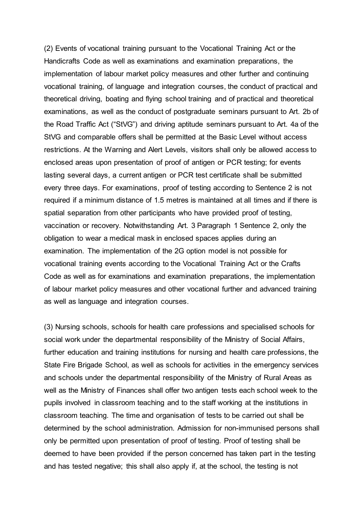(2) Events of vocational training pursuant to the Vocational Training Act or the Handicrafts Code as well as examinations and examination preparations, the implementation of labour market policy measures and other further and continuing vocational training, of language and integration courses, the conduct of practical and theoretical driving, boating and flying school training and of practical and theoretical examinations, as well as the conduct of postgraduate seminars pursuant to Art. 2b of the Road Traffic Act ("StVG") and driving aptitude seminars pursuant to Art. 4a of the StVG and comparable offers shall be permitted at the Basic Level without access restrictions. At the Warning and Alert Levels, visitors shall only be allowed access to enclosed areas upon presentation of proof of antigen or PCR testing; for events lasting several days, a current antigen or PCR test certificate shall be submitted every three days. For examinations, proof of testing according to Sentence 2 is not required if a minimum distance of 1.5 metres is maintained at all times and if there is spatial separation from other participants who have provided proof of testing, vaccination or recovery. Notwithstanding Art. 3 Paragraph 1 Sentence 2, only the obligation to wear a medical mask in enclosed spaces applies during an examination. The implementation of the 2G option model is not possible for vocational training events according to the Vocational Training Act or the Crafts Code as well as for examinations and examination preparations, the implementation of labour market policy measures and other vocational further and advanced training as well as language and integration courses.

(3) Nursing schools, schools for health care professions and specialised schools for social work under the departmental responsibility of the Ministry of Social Affairs, further education and training institutions for nursing and health care professions, the State Fire Brigade School, as well as schools for activities in the emergency services and schools under the departmental responsibility of the Ministry of Rural Areas as well as the Ministry of Finances shall offer two antigen tests each school week to the pupils involved in classroom teaching and to the staff working at the institutions in classroom teaching. The time and organisation of tests to be carried out shall be determined by the school administration. Admission for non-immunised persons shall only be permitted upon presentation of proof of testing. Proof of testing shall be deemed to have been provided if the person concerned has taken part in the testing and has tested negative; this shall also apply if, at the school, the testing is not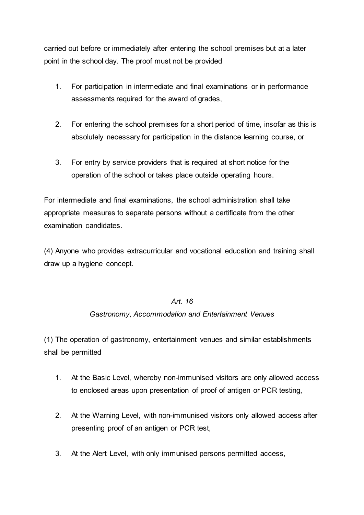carried out before or immediately after entering the school premises but at a later point in the school day. The proof must not be provided

- 1. For participation in intermediate and final examinations or in performance assessments required for the award of grades,
- 2. For entering the school premises for a short period of time, insofar as this is absolutely necessary for participation in the distance learning course, or
- 3. For entry by service providers that is required at short notice for the operation of the school or takes place outside operating hours.

For intermediate and final examinations, the school administration shall take appropriate measures to separate persons without a certificate from the other examination candidates.

(4) Anyone who provides extracurricular and vocational education and training shall draw up a hygiene concept.

## *Art. 16*

## *Gastronomy, Accommodation and Entertainment Venues*

(1) The operation of gastronomy, entertainment venues and similar establishments shall be permitted

- 1. At the Basic Level, whereby non-immunised visitors are only allowed access to enclosed areas upon presentation of proof of antigen or PCR testing,
- 2. At the Warning Level, with non-immunised visitors only allowed access after presenting proof of an antigen or PCR test,
- 3. At the Alert Level, with only immunised persons permitted access,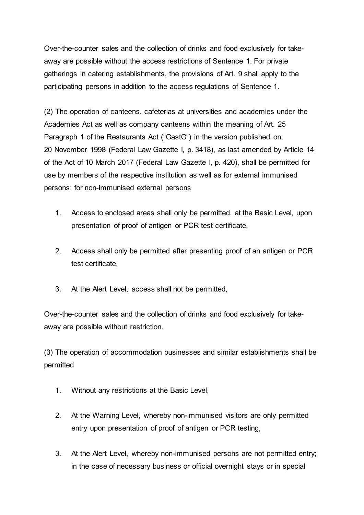Over-the-counter sales and the collection of drinks and food exclusively for takeaway are possible without the access restrictions of Sentence 1. For private gatherings in catering establishments, the provisions of Art. 9 shall apply to the participating persons in addition to the access regulations of Sentence 1.

(2) The operation of canteens, cafeterias at universities and academies under the Academies Act as well as company canteens within the meaning of Art. 25 Paragraph 1 of the Restaurants Act ("GastG") in the version published on 20 November 1998 (Federal Law Gazette I, p. 3418), as last amended by Article 14 of the Act of 10 March 2017 (Federal Law Gazette I, p. 420), shall be permitted for use by members of the respective institution as well as for external immunised persons; for non-immunised external persons

- 1. Access to enclosed areas shall only be permitted, at the Basic Level, upon presentation of proof of antigen or PCR test certificate,
- 2. Access shall only be permitted after presenting proof of an antigen or PCR test certificate,
- 3. At the Alert Level, access shall not be permitted,

Over-the-counter sales and the collection of drinks and food exclusively for takeaway are possible without restriction.

(3) The operation of accommodation businesses and similar establishments shall be permitted

- 1. Without any restrictions at the Basic Level,
- 2. At the Warning Level, whereby non-immunised visitors are only permitted entry upon presentation of proof of antigen or PCR testing,
- 3. At the Alert Level, whereby non-immunised persons are not permitted entry; in the case of necessary business or official overnight stays or in special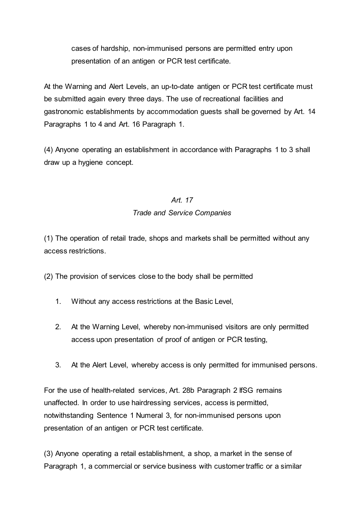cases of hardship, non-immunised persons are permitted entry upon presentation of an antigen or PCR test certificate.

At the Warning and Alert Levels, an up-to-date antigen or PCR test certificate must be submitted again every three days. The use of recreational facilities and gastronomic establishments by accommodation guests shall be governed by Art. 14 Paragraphs 1 to 4 and Art. 16 Paragraph 1.

(4) Anyone operating an establishment in accordance with Paragraphs 1 to 3 shall draw up a hygiene concept.

## *Art. 17*

## *Trade and Service Companies*

(1) The operation of retail trade, shops and markets shall be permitted without any access restrictions.

(2) The provision of services close to the body shall be permitted

- 1. Without any access restrictions at the Basic Level,
- 2. At the Warning Level, whereby non-immunised visitors are only permitted access upon presentation of proof of antigen or PCR testing,
- 3. At the Alert Level, whereby access is only permitted for immunised persons.

For the use of health-related services, Art. 28b Paragraph 2 IfSG remains unaffected. In order to use hairdressing services, access is permitted, notwithstanding Sentence 1 Numeral 3, for non-immunised persons upon presentation of an antigen or PCR test certificate.

(3) Anyone operating a retail establishment, a shop, a market in the sense of Paragraph 1, a commercial or service business with customer traffic or a similar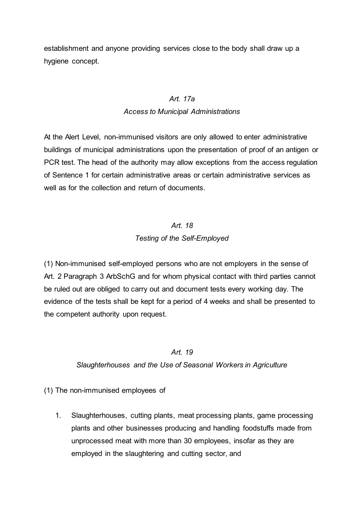establishment and anyone providing services close to the body shall draw up a hygiene concept.

### *Art. 17a*

### *Access to Municipal Administrations*

At the Alert Level, non-immunised visitors are only allowed to enter administrative buildings of municipal administrations upon the presentation of proof of an antigen or PCR test. The head of the authority may allow exceptions from the access regulation of Sentence 1 for certain administrative areas or certain administrative services as well as for the collection and return of documents.

# *Art. 18 Testing of the Self-Employed*

(1) Non-immunised self-employed persons who are not employers in the sense of Art. 2 Paragraph 3 ArbSchG and for whom physical contact with third parties cannot be ruled out are obliged to carry out and document tests every working day. The evidence of the tests shall be kept for a period of 4 weeks and shall be presented to the competent authority upon request.

### *Art. 19*

### *Slaughterhouses and the Use of Seasonal Workers in Agriculture*

### (1) The non-immunised employees of

1. Slaughterhouses, cutting plants, meat processing plants, game processing plants and other businesses producing and handling foodstuffs made from unprocessed meat with more than 30 employees, insofar as they are employed in the slaughtering and cutting sector, and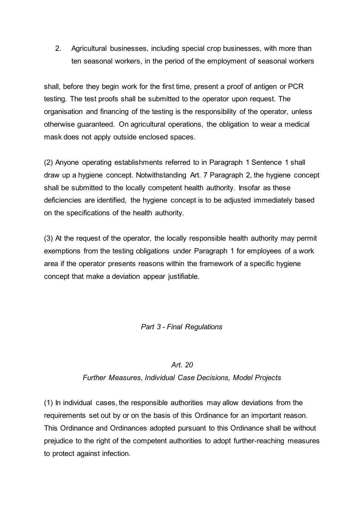2. Agricultural businesses, including special crop businesses, with more than ten seasonal workers, in the period of the employment of seasonal workers

shall, before they begin work for the first time, present a proof of antigen or PCR testing. The test proofs shall be submitted to the operator upon request. The organisation and financing of the testing is the responsibility of the operator, unless otherwise guaranteed. On agricultural operations, the obligation to wear a medical mask does not apply outside enclosed spaces.

(2) Anyone operating establishments referred to in Paragraph 1 Sentence 1 shall draw up a hygiene concept. Notwithstanding Art. 7 Paragraph 2, the hygiene concept shall be submitted to the locally competent health authority. Insofar as these deficiencies are identified, the hygiene concept is to be adjusted immediately based on the specifications of the health authority.

(3) At the request of the operator, the locally responsible health authority may permit exemptions from the testing obligations under Paragraph 1 for employees of a work area if the operator presents reasons within the framework of a specific hygiene concept that make a deviation appear justifiable.

*Part 3 - Final Regulations*

### *Art. 20*

## *Further Measures, Individual Case Decisions, Model Projects*

(1) In individual cases, the responsible authorities may allow deviations from the requirements set out by or on the basis of this Ordinance for an important reason. This Ordinance and Ordinances adopted pursuant to this Ordinance shall be without prejudice to the right of the competent authorities to adopt further-reaching measures to protect against infection.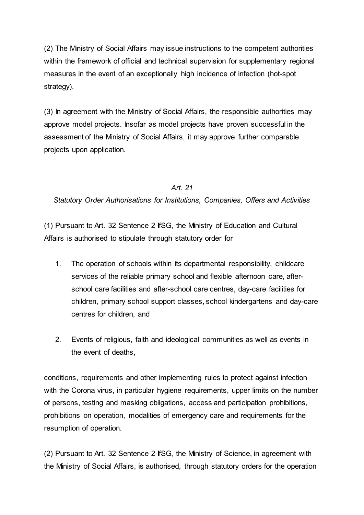(2) The Ministry of Social Affairs may issue instructions to the competent authorities within the framework of official and technical supervision for supplementary regional measures in the event of an exceptionally high incidence of infection (hot-spot strategy).

(3) In agreement with the Ministry of Social Affairs, the responsible authorities may approve model projects. Insofar as model projects have proven successful in the assessment of the Ministry of Social Affairs, it may approve further comparable projects upon application.

## *Art. 21*

*Statutory Order Authorisations for Institutions, Companies, Offers and Activities*

(1) Pursuant to Art. 32 Sentence 2 IfSG, the Ministry of Education and Cultural Affairs is authorised to stipulate through statutory order for

- 1. The operation of schools within its departmental responsibility, childcare services of the reliable primary school and flexible afternoon care, afterschool care facilities and after-school care centres, day-care facilities for children, primary school support classes, school kindergartens and day-care centres for children, and
- 2. Events of religious, faith and ideological communities as well as events in the event of deaths,

conditions, requirements and other implementing rules to protect against infection with the Corona virus, in particular hygiene requirements, upper limits on the number of persons, testing and masking obligations, access and participation prohibitions, prohibitions on operation, modalities of emergency care and requirements for the resumption of operation.

(2) Pursuant to Art. 32 Sentence 2 IfSG, the Ministry of Science, in agreement with the Ministry of Social Affairs, is authorised, through statutory orders for the operation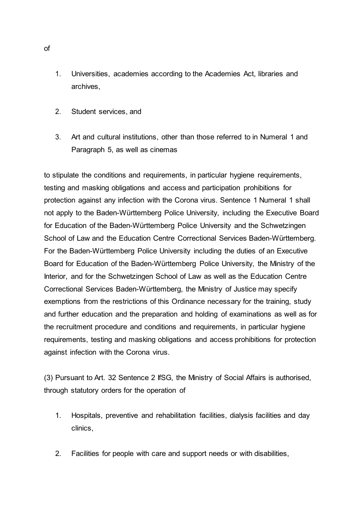- 1. Universities, academies according to the Academies Act, libraries and archives,
- 2. Student services, and
- 3. Art and cultural institutions, other than those referred to in Numeral 1 and Paragraph 5, as well as cinemas

to stipulate the conditions and requirements, in particular hygiene requirements, testing and masking obligations and access and participation prohibitions for protection against any infection with the Corona virus. Sentence 1 Numeral 1 shall not apply to the Baden-Württemberg Police University, including the Executive Board for Education of the Baden-Württemberg Police University and the Schwetzingen School of Law and the Education Centre Correctional Services Baden-Württemberg. For the Baden-Württemberg Police University including the duties of an Executive Board for Education of the Baden-Württemberg Police University, the Ministry of the Interior, and for the Schwetzingen School of Law as well as the Education Centre Correctional Services Baden-Württemberg, the Ministry of Justice may specify exemptions from the restrictions of this Ordinance necessary for the training, study and further education and the preparation and holding of examinations as well as for the recruitment procedure and conditions and requirements, in particular hygiene requirements, testing and masking obligations and access prohibitions for protection against infection with the Corona virus.

(3) Pursuant to Art. 32 Sentence 2 IfSG, the Ministry of Social Affairs is authorised, through statutory orders for the operation of

- 1. Hospitals, preventive and rehabilitation facilities, dialysis facilities and day clinics,
- 2. Facilities for people with care and support needs or with disabilities,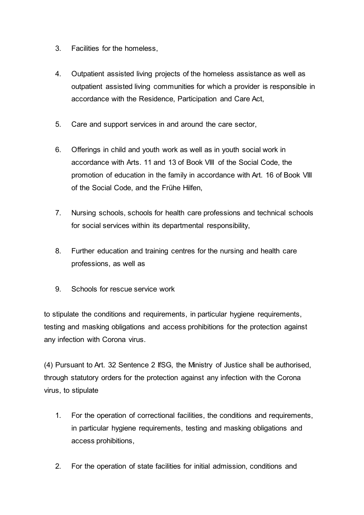- 3. Facilities for the homeless,
- 4. Outpatient assisted living projects of the homeless assistance as well as outpatient assisted living communities for which a provider is responsible in accordance with the Residence, Participation and Care Act,
- 5. Care and support services in and around the care sector,
- 6. Offerings in child and youth work as well as in youth social work in accordance with Arts. 11 and 13 of Book VIII of the Social Code, the promotion of education in the family in accordance with Art. 16 of Book VIII of the Social Code, and the Frühe Hilfen,
- 7. Nursing schools, schools for health care professions and technical schools for social services within its departmental responsibility,
- 8. Further education and training centres for the nursing and health care professions, as well as
- 9. Schools for rescue service work

to stipulate the conditions and requirements, in particular hygiene requirements, testing and masking obligations and access prohibitions for the protection against any infection with Corona virus.

(4) Pursuant to Art. 32 Sentence 2 IfSG, the Ministry of Justice shall be authorised, through statutory orders for the protection against any infection with the Corona virus, to stipulate

- 1. For the operation of correctional facilities, the conditions and requirements, in particular hygiene requirements, testing and masking obligations and access prohibitions,
- 2. For the operation of state facilities for initial admission, conditions and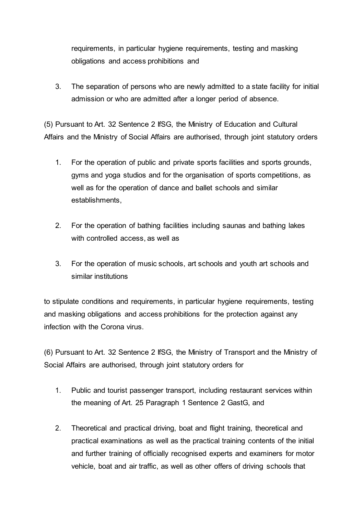requirements, in particular hygiene requirements, testing and masking obligations and access prohibitions and

3. The separation of persons who are newly admitted to a state facility for initial admission or who are admitted after a longer period of absence.

(5) Pursuant to Art. 32 Sentence 2 IfSG, the Ministry of Education and Cultural Affairs and the Ministry of Social Affairs are authorised, through joint statutory orders

- 1. For the operation of public and private sports facilities and sports grounds, gyms and yoga studios and for the organisation of sports competitions, as well as for the operation of dance and ballet schools and similar establishments,
- 2. For the operation of bathing facilities including saunas and bathing lakes with controlled access, as well as
- 3. For the operation of music schools, art schools and youth art schools and similar institutions

to stipulate conditions and requirements, in particular hygiene requirements, testing and masking obligations and access prohibitions for the protection against any infection with the Corona virus.

(6) Pursuant to Art. 32 Sentence 2 IfSG, the Ministry of Transport and the Ministry of Social Affairs are authorised, through joint statutory orders for

- 1. Public and tourist passenger transport, including restaurant services within the meaning of Art. 25 Paragraph 1 Sentence 2 GastG, and
- 2. Theoretical and practical driving, boat and flight training, theoretical and practical examinations as well as the practical training contents of the initial and further training of officially recognised experts and examiners for motor vehicle, boat and air traffic, as well as other offers of driving schools that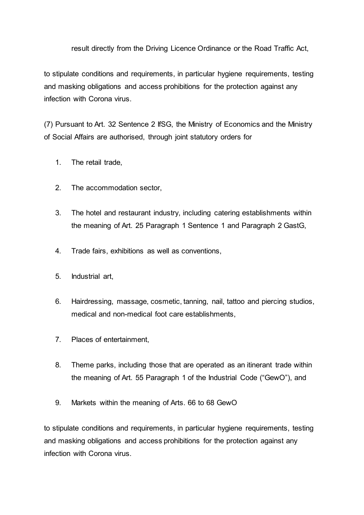#### result directly from the Driving Licence Ordinance or the Road Traffic Act,

to stipulate conditions and requirements, in particular hygiene requirements, testing and masking obligations and access prohibitions for the protection against any infection with Corona virus.

(7) Pursuant to Art. 32 Sentence 2 IfSG, the Ministry of Economics and the Ministry of Social Affairs are authorised, through joint statutory orders for

- 1. The retail trade,
- 2. The accommodation sector,
- 3. The hotel and restaurant industry, including catering establishments within the meaning of Art. 25 Paragraph 1 Sentence 1 and Paragraph 2 GastG,
- 4. Trade fairs, exhibitions as well as conventions,
- 5. Industrial art,
- 6. Hairdressing, massage, cosmetic, tanning, nail, tattoo and piercing studios, medical and non-medical foot care establishments,
- 7. Places of entertainment,
- 8. Theme parks, including those that are operated as an itinerant trade within the meaning of Art. 55 Paragraph 1 of the Industrial Code ("GewO"), and
- 9. Markets within the meaning of Arts. 66 to 68 GewO

to stipulate conditions and requirements, in particular hygiene requirements, testing and masking obligations and access prohibitions for the protection against any infection with Corona virus.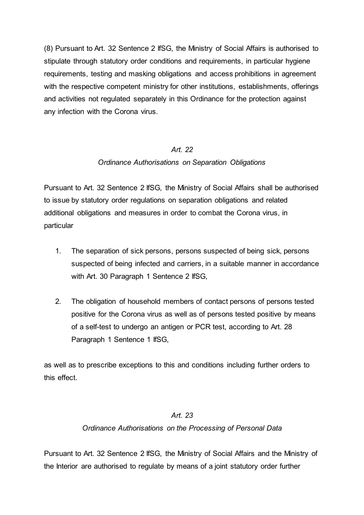(8) Pursuant to Art. 32 Sentence 2 IfSG, the Ministry of Social Affairs is authorised to stipulate through statutory order conditions and requirements, in particular hygiene requirements, testing and masking obligations and access prohibitions in agreement with the respective competent ministry for other institutions, establishments, offerings and activities not regulated separately in this Ordinance for the protection against any infection with the Corona virus.

#### *Art. 22*

### *Ordinance Authorisations on Separation Obligations*

Pursuant to Art. 32 Sentence 2 IfSG, the Ministry of Social Affairs shall be authorised to issue by statutory order regulations on separation obligations and related additional obligations and measures in order to combat the Corona virus, in particular

- 1. The separation of sick persons, persons suspected of being sick, persons suspected of being infected and carriers, in a suitable manner in accordance with Art. 30 Paragraph 1 Sentence 2 IfSG,
- 2. The obligation of household members of contact persons of persons tested positive for the Corona virus as well as of persons tested positive by means of a self-test to undergo an antigen or PCR test, according to Art. 28 Paragraph 1 Sentence 1 IfSG,

as well as to prescribe exceptions to this and conditions including further orders to this effect.

### *Art. 23*

#### *Ordinance Authorisations on the Processing of Personal Data*

Pursuant to Art. 32 Sentence 2 IfSG, the Ministry of Social Affairs and the Ministry of the Interior are authorised to regulate by means of a joint statutory order further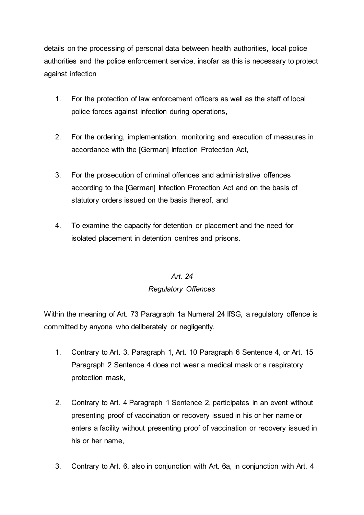details on the processing of personal data between health authorities, local police authorities and the police enforcement service, insofar as this is necessary to protect against infection

- 1. For the protection of law enforcement officers as well as the staff of local police forces against infection during operations,
- 2. For the ordering, implementation, monitoring and execution of measures in accordance with the [German] Infection Protection Act,
- 3. For the prosecution of criminal offences and administrative offences according to the [German] Infection Protection Act and on the basis of statutory orders issued on the basis thereof, and
- 4. To examine the capacity for detention or placement and the need for isolated placement in detention centres and prisons.

## *Art. 24*

## *Regulatory Offences*

Within the meaning of Art. 73 Paragraph 1a Numeral 24 IfSG, a regulatory offence is committed by anyone who deliberately or negligently,

- 1. Contrary to Art. 3, Paragraph 1, Art. 10 Paragraph 6 Sentence 4, or Art. 15 Paragraph 2 Sentence 4 does not wear a medical mask or a respiratory protection mask,
- 2. Contrary to Art. 4 Paragraph 1 Sentence 2, participates in an event without presenting proof of vaccination or recovery issued in his or her name or enters a facility without presenting proof of vaccination or recovery issued in his or her name,
- 3. Contrary to Art. 6, also in conjunction with Art. 6a, in conjunction with Art. 4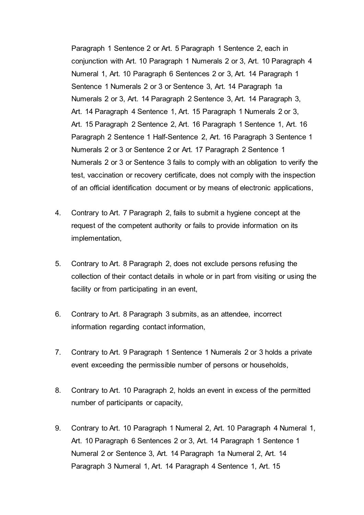Paragraph 1 Sentence 2 or Art. 5 Paragraph 1 Sentence 2, each in conjunction with Art. 10 Paragraph 1 Numerals 2 or 3, Art. 10 Paragraph 4 Numeral 1, Art. 10 Paragraph 6 Sentences 2 or 3, Art. 14 Paragraph 1 Sentence 1 Numerals 2 or 3 or Sentence 3, Art. 14 Paragraph 1a Numerals 2 or 3, Art. 14 Paragraph 2 Sentence 3, Art. 14 Paragraph 3, Art. 14 Paragraph 4 Sentence 1, Art. 15 Paragraph 1 Numerals 2 or 3, Art. 15 Paragraph 2 Sentence 2, Art. 16 Paragraph 1 Sentence 1, Art. 16 Paragraph 2 Sentence 1 Half-Sentence 2, Art. 16 Paragraph 3 Sentence 1 Numerals 2 or 3 or Sentence 2 or Art. 17 Paragraph 2 Sentence 1 Numerals 2 or 3 or Sentence 3 fails to comply with an obligation to verify the test, vaccination or recovery certificate, does not comply with the inspection of an official identification document or by means of electronic applications,

- 4. Contrary to Art. 7 Paragraph 2, fails to submit a hygiene concept at the request of the competent authority or fails to provide information on its implementation,
- 5. Contrary to Art. 8 Paragraph 2, does not exclude persons refusing the collection of their contact details in whole or in part from visiting or using the facility or from participating in an event,
- 6. Contrary to Art. 8 Paragraph 3 submits, as an attendee, incorrect information regarding contact information,
- 7. Contrary to Art. 9 Paragraph 1 Sentence 1 Numerals 2 or 3 holds a private event exceeding the permissible number of persons or households,
- 8. Contrary to Art. 10 Paragraph 2, holds an event in excess of the permitted number of participants or capacity,
- 9. Contrary to Art. 10 Paragraph 1 Numeral 2, Art. 10 Paragraph 4 Numeral 1, Art. 10 Paragraph 6 Sentences 2 or 3, Art. 14 Paragraph 1 Sentence 1 Numeral 2 or Sentence 3, Art. 14 Paragraph 1a Numeral 2, Art. 14 Paragraph 3 Numeral 1, Art. 14 Paragraph 4 Sentence 1, Art. 15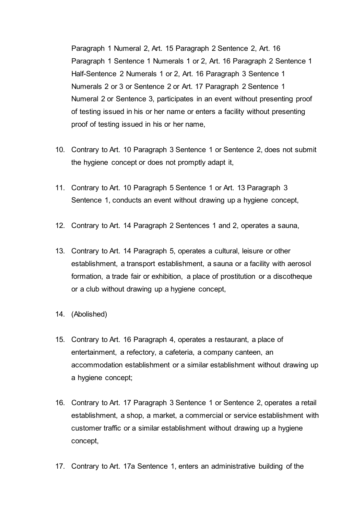Paragraph 1 Numeral 2, Art. 15 Paragraph 2 Sentence 2, Art. 16 Paragraph 1 Sentence 1 Numerals 1 or 2, Art. 16 Paragraph 2 Sentence 1 Half-Sentence 2 Numerals 1 or 2, Art. 16 Paragraph 3 Sentence 1 Numerals 2 or 3 or Sentence 2 or Art. 17 Paragraph 2 Sentence 1 Numeral 2 or Sentence 3, participates in an event without presenting proof of testing issued in his or her name or enters a facility without presenting proof of testing issued in his or her name,

- 10. Contrary to Art. 10 Paragraph 3 Sentence 1 or Sentence 2, does not submit the hygiene concept or does not promptly adapt it,
- 11. Contrary to Art. 10 Paragraph 5 Sentence 1 or Art. 13 Paragraph 3 Sentence 1, conducts an event without drawing up a hygiene concept,
- 12. Contrary to Art. 14 Paragraph 2 Sentences 1 and 2, operates a sauna,
- 13. Contrary to Art. 14 Paragraph 5, operates a cultural, leisure or other establishment, a transport establishment, a sauna or a facility with aerosol formation, a trade fair or exhibition, a place of prostitution or a discotheque or a club without drawing up a hygiene concept,
- 14. (Abolished)
- 15. Contrary to Art. 16 Paragraph 4, operates a restaurant, a place of entertainment, a refectory, a cafeteria, a company canteen, an accommodation establishment or a similar establishment without drawing up a hygiene concept;
- 16. Contrary to Art. 17 Paragraph 3 Sentence 1 or Sentence 2, operates a retail establishment, a shop, a market, a commercial or service establishment with customer traffic or a similar establishment without drawing up a hygiene concept,
- 17. Contrary to Art. 17a Sentence 1, enters an administrative building of the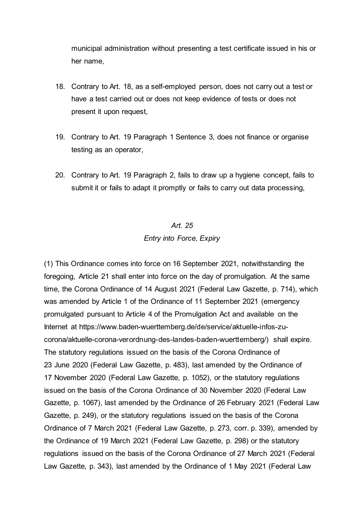municipal administration without presenting a test certificate issued in his or her name,

- 18. Contrary to Art. 18, as a self-employed person, does not carry out a test or have a test carried out or does not keep evidence of tests or does not present it upon request,
- 19. Contrary to Art. 19 Paragraph 1 Sentence 3, does not finance or organise testing as an operator,
- 20. Contrary to Art. 19 Paragraph 2, fails to draw up a hygiene concept, fails to submit it or fails to adapt it promptly or fails to carry out data processing,

## *Art. 25 Entry into Force, Expiry*

(1) This Ordinance comes into force on 16 September 2021, notwithstanding the foregoing, Article 21 shall enter into force on the day of promulgation. At the same time, the Corona Ordinance of 14 August 2021 (Federal Law Gazette, p. 714), which was amended by Article 1 of the Ordinance of 11 September 2021 (emergency promulgated pursuant to Article 4 of the Promulgation Act and available on the Internet at https://www.baden-wuerttemberg.de/de/service/aktuelle-infos-zucorona/aktuelle-corona-verordnung-des-landes-baden-wuerttemberg/) shall expire. The statutory regulations issued on the basis of the Corona Ordinance of 23 June 2020 (Federal Law Gazette, p. 483), last amended by the Ordinance of 17 November 2020 (Federal Law Gazette, p. 1052), or the statutory regulations issued on the basis of the Corona Ordinance of 30 November 2020 (Federal Law Gazette, p. 1067), last amended by the Ordinance of 26 February 2021 (Federal Law Gazette, p. 249), or the statutory regulations issued on the basis of the Corona Ordinance of 7 March 2021 (Federal Law Gazette, p. 273, corr. p. 339), amended by the Ordinance of 19 March 2021 (Federal Law Gazette, p. 298) or the statutory regulations issued on the basis of the Corona Ordinance of 27 March 2021 (Federal Law Gazette, p. 343), last amended by the Ordinance of 1 May 2021 (Federal Law